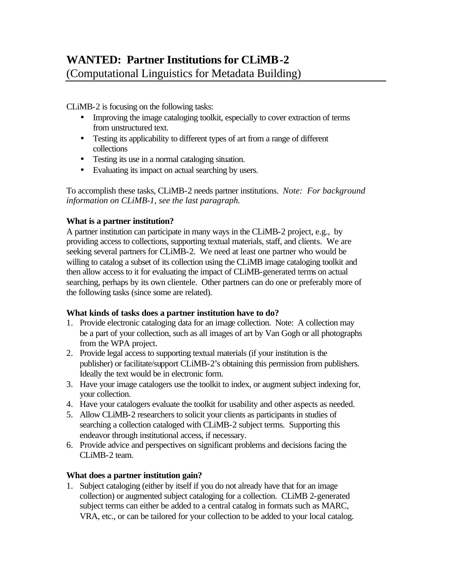CLiMB-2 is focusing on the following tasks:

- Improving the image cataloging toolkit, especially to cover extraction of terms from unstructured text.
- Testing its applicability to different types of art from a range of different collections
- Testing its use in a normal cataloging situation.
- Evaluating its impact on actual searching by users.

To accomplish these tasks, CLiMB-2 needs partner institutions. *Note: For background information on CLiMB-1, see the last paragraph.*

## **What is a partner institution?**

A partner institution can participate in many ways in the CLiMB-2 project, e.g., by providing access to collections, supporting textual materials, staff, and clients. We are seeking several partners for CLiMB-2. We need at least one partner who would be willing to catalog a subset of its collection using the CLiMB image cataloging toolkit and then allow access to it for evaluating the impact of CLiMB-generated terms on actual searching, perhaps by its own clientele. Other partners can do one or preferably more of the following tasks (since some are related).

# **What kinds of tasks does a partner institution have to do?**

- 1. Provide electronic cataloging data for an image collection. Note: A collection may be a part of your collection, such as all images of art by Van Gogh or all photographs from the WPA project.
- 2. Provide legal access to supporting textual materials (if your institution is the publisher) or facilitate/support CLiMB-2's obtaining this permission from publishers. Ideally the text would be in electronic form.
- 3. Have your image catalogers use the toolkit to index, or augment subject indexing for, your collection.
- 4. Have your catalogers evaluate the toolkit for usability and other aspects as needed.
- 5. Allow CLiMB-2 researchers to solicit your clients as participants in studies of searching a collection cataloged with CLiMB-2 subject terms. Supporting this endeavor through institutional access, if necessary.
- 6. Provide advice and perspectives on significant problems and decisions facing the CLiMB-2 team.

# **What does a partner institution gain?**

1. Subject cataloging (either by itself if you do not already have that for an image collection) or augmented subject cataloging for a collection. CLiMB 2-generated subject terms can either be added to a central catalog in formats such as MARC, VRA, etc., or can be tailored for your collection to be added to your local catalog.